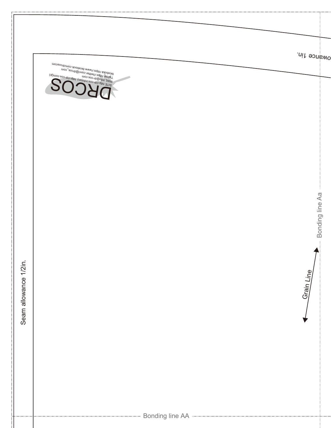wance 1in.

Bonding line Aa

Bonding line Aa

Grain Line

SITE http://dr-cos.info(en) http://dr-cos.info(ip)<br>moo.soo-lp/i.qud (ne)on.soo-lpgodri JiAM<br>sidiwil/i.equid regime **DRCOS** COMPANY INTO THE RESPONSED ON THE RESPONDENCE ON CONTRACTOR CONTRACTOR CONTRACTOR CONTRACTOR CONTRACTOR<br>UNITED TRACTOR COMPANY IN THE RESPONDENCE ON CONTRACTOR CONTRACTOR CONTRACTOR CONTRACTOR CONTRACTOR CONTRACTOR

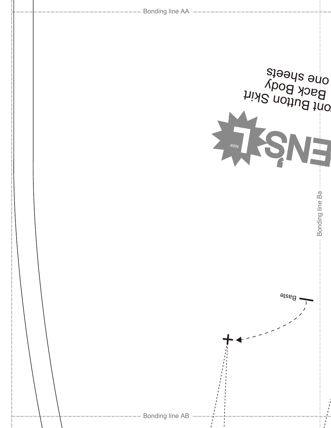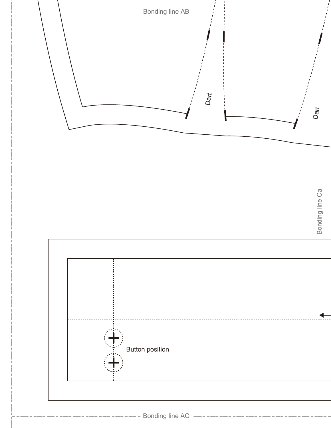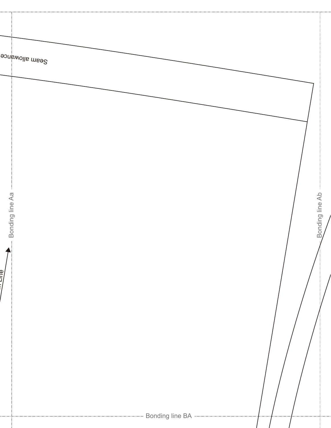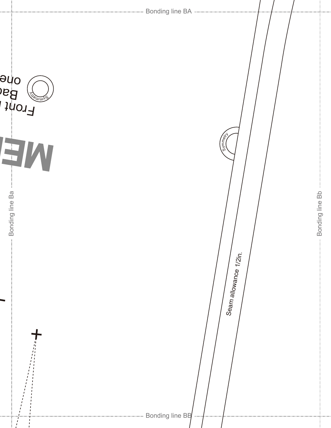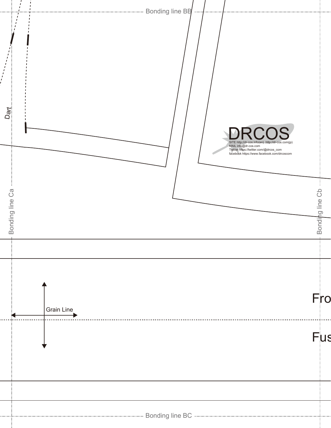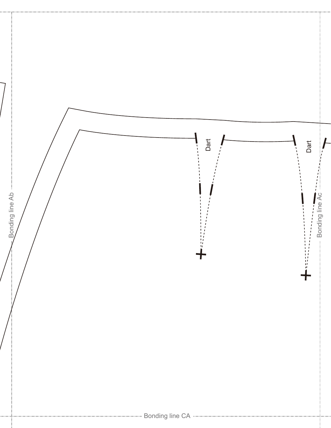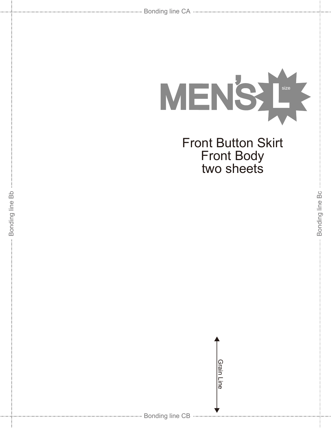

**Front Button Skirt** Front Body two sheets

Bonding line Bc

Bonding line Bc



**Bonding line CB** -

Bonding line Bb

Bonding line Bb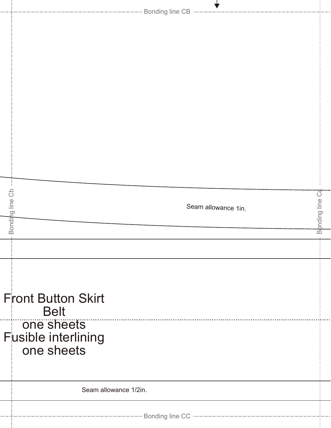| Bonding line Cb<br>Seam allowance 1in.                 | ŏ<br>Bonding line |
|--------------------------------------------------------|-------------------|
|                                                        |                   |
|                                                        |                   |
| <b>Front Button Skirt</b><br><b>Belt</b><br>.          |                   |
| one sheets<br><b>Fusible interlining</b><br>one sheets |                   |
| Seam allowance 1/2in.                                  |                   |
|                                                        |                   |
|                                                        |                   |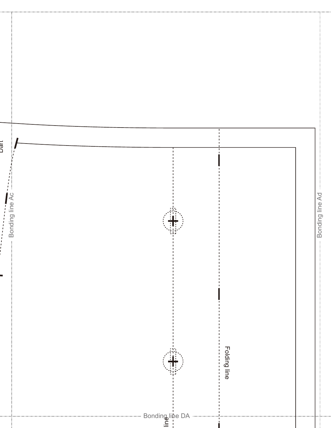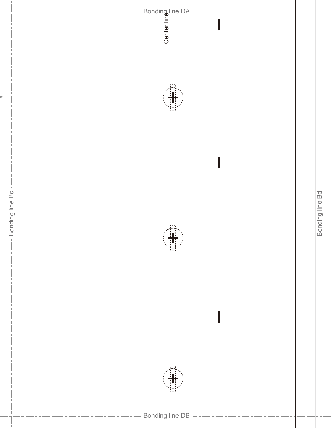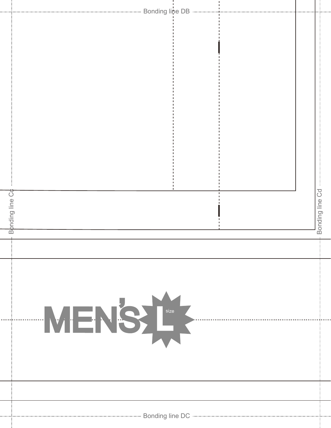| --------------- Bonding line DB --------<br>MENSIS |  | <b>Bonding line Co</b> |  |
|----------------------------------------------------|--|------------------------|--|
|                                                    |  |                        |  |
|                                                    |  | Bonding line Cd        |  |